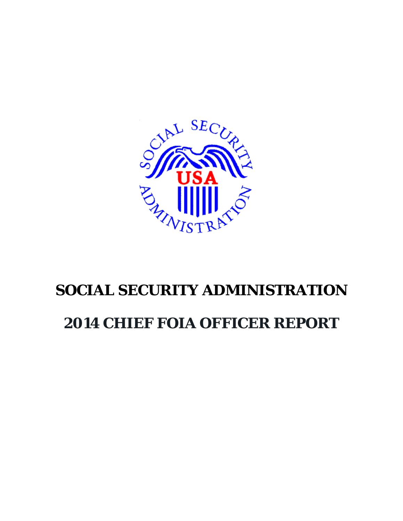

# **SOCIAL SECURITY ADMINISTRATION**

# **2014 CHIEF FOIA OFFICER REPORT**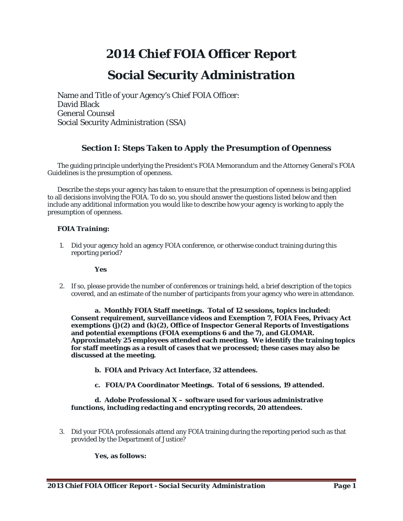# *2014 Chief FOIA Officer Report*

# **Social Security Administration**

Name and Title of your Agency's Chief FOIA Officer: David Black General Counsel Social Security Administration (SSA)

# *Section I: Steps Taken to Apply the Presumption of Openness*

The guiding principle underlying the President's FOIA Memorandum and the Attorney General's FOIA Guidelines is the presumption of openness.

Describe the steps your agency has taken to ensure that the presumption of openness is being applied to all decisions involving the FOIA. To do so, you should answer the questions listed below and then include any additional information you would like to describe how your agency is working to apply the presumption of openness.

# *FOIA Training:*

1. Did your agency hold an agency FOIA conference, or otherwise conduct training during this reporting period?

# **Yes**

2. If so, please provide the number of conferences or trainings held, a brief description of the topics covered, and an estimate of the number of participants from your agency who were in attendance.

**a. Monthly FOIA Staff meetings. Total of 12 sessions, topics included: Consent requirement, surveillance videos and Exemption 7, FOIA Fees, Privacy Act exemptions (j)(2) and (k)(2), Office of Inspector General Reports of Investigations and potential exemptions (FOIA exemptions 6 and the 7), and GLOMAR. Approximately 25 employees attended each meeting. We identify the training topics for staff meetings as a result of cases that we processed; these cases may also be discussed at the meeting.**

- **b. FOIA and Privacy Act Interface, 32 attendees.**
- **c. FOIA/PA Coordinator Meetings. Total of 6 sessions, 19 attended.**

### **d. Adobe Professional X – software used for various administrative functions, including redacting and encrypting records, 20 attendees.**

3. Did your FOIA professionals attend any FOIA training during the reporting period such as that provided by the Department of Justice?

# **Yes, as follows:**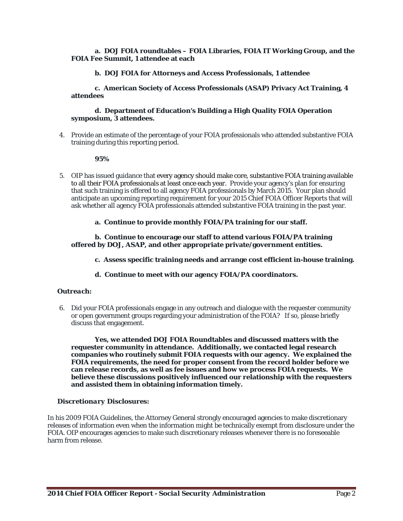#### **a. DOJ FOIA roundtables – FOIA Libraries, FOIA IT Working Group, and the FOIA Fee Summit, 1 attendee at each**

### **b. DOJ FOIA for Attorneys and Access Professionals, 1 attendee**

**c. American Society of Access Professionals (ASAP) Privacy Act Training, 4 attendees**

#### **d. Department of Education's Building a High Quality FOIA Operation symposium, 3 attendees.**

4. Provide an estimate of the percentage of your FOIA professionals who attended substantive FOIA training during this reporting period.

**95%**

- 5. OIP has issued guidance that [every agency should make core, substantive FOIA training available](http://www.justice.gov/oip/foiapost/2013foiapost04.html)  [to all their FOIA professionals at least once each year.](http://www.justice.gov/oip/foiapost/2013foiapost04.html) Provide your agency's plan for ensuring that such training is offered to all agency FOIA professionals by March 2015. Your plan should anticipate an upcoming reporting requirement for your 2015 Chief FOIA Officer Reports that will ask whether all agency FOIA professionals attended substantive FOIA training in the past year.
	- **a. Continue to provide monthly FOIA/PA training for our staff.**

#### **b. Continue to encourage our staff to attend various FOIA/PA training offered by DOJ, ASAP, and other appropriate private/government entities.**

- **c. Assess specific training needs and arrange cost efficient in-house training.**
- **d. Continue to meet with our agency FOIA/PA coordinators.**

#### *Outreach:*

6. Did your FOIA professionals engage in any outreach and dialogue with the requester community or open government groups regarding your administration of the FOIA? If so, please briefly discuss that engagement.

**Yes, we attended DOJ FOIA Roundtables and discussed matters with the requester community in attendance. Additionally, we contacted legal research companies who routinely submit FOIA requests with our agency. We explained the FOIA requirements, the need for proper consent from the record holder before we can release records, as well as fee issues and how we process FOIA requests. We believe these discussions positively influenced our relationship with the requesters and assisted them in obtaining information timely.**

#### *Discretionary Disclosures:*

In his 2009 FOIA Guidelines, the Attorney General strongly encouraged agencies to make discretionary releases of information even when the information might be technically exempt from disclosure under the FOIA. OIP encourages agencies to make such discretionary releases whenever there is no foreseeable harm from release.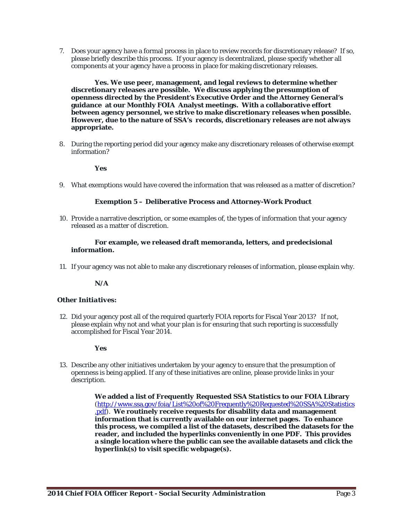7. Does your agency have a formal process in place to review records for discretionary release? If so, please briefly describe this process. If your agency is decentralized, please specify whether all components at your agency have a process in place for making discretionary releases.

**Yes. We use peer, management, and legal reviews to determine whether discretionary releases are possible. We discuss applying the presumption of openness directed by the President's Executive Order and the Attorney General's guidance at our Monthly FOIA Analyst meetings. With a collaborative effort between agency personnel, we strive to make discretionary releases when possible. However, due to the nature of SSA's records, discretionary releases are not always appropriate.** 

8. During the reporting period did your agency make any discretionary releases of otherwise exempt information?

### **Yes**

9. What exemptions would have covered the information that was released as a matter of discretion?

### **Exemption 5 – Deliberative Process and Attorney-Work Product**

10. Provide a narrative description, or some examples of, the types of information that your agency released as a matter of discretion.

#### **For example, we released draft memoranda, letters, and predecisional information.**

11. If your agency was not able to make any discretionary releases of information, please explain why.

**N/A**

#### *Other Initiatives:*

12. Did your agency post all of the required quarterly FOIA reports for Fiscal Year 2013? If not, please explain why not and what your plan is for ensuring that such reporting is successfully accomplished for Fiscal Year 2014.

**Yes**

13. Describe any other initiatives undertaken by your agency to ensure that the presumption of openness is being applied. If any of these initiatives are online, please provide links in your description.

> **We added a list of** *Frequently Requested SSA Statistics* **to our FOIA Library** [\(http://www.ssa.gov/foia/List%20of%20Frequently%20Requested%20SSA%20Statistics](http://www.ssa.gov/foia/List%20of%20Frequently%20Requested%20SSA%20Statistics.pdf) [.pdf\)](http://www.ssa.gov/foia/List%20of%20Frequently%20Requested%20SSA%20Statistics.pdf). **We routinely receive requests for disability data and management information that is currently available on our internet pages. To enhance this process, we compiled a list of the datasets, described the datasets for the reader, and included the hyperlinks conveniently in one PDF. This provides a single location where the public can see the available datasets and click the hyperlink(s) to visit specific webpage(s).**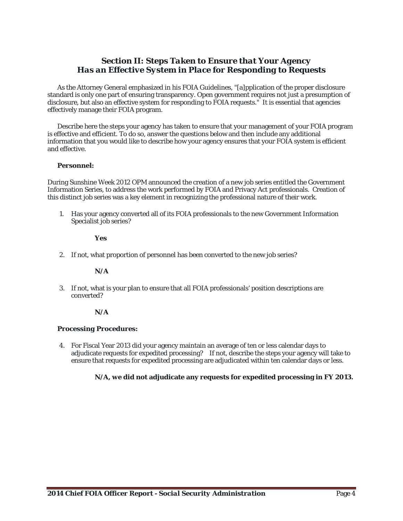# *Section II: Steps Taken to Ensure that Your Agency Has an Effective System in Place for Responding to Requests*

As the Attorney General emphasized in his FOIA Guidelines, "[a]pplication of the proper disclosure standard is only one part of ensuring transparency. Open government requires not just a presumption of disclosure, but also an effective system for responding to FOIA requests." It is essential that agencies effectively manage their FOIA program.

Describe here the steps your agency has taken to ensure that your management of your FOIA program is effective and efficient. To do so, answer the questions below and then include any additional information that you would like to describe how your agency ensures that your FOIA system is efficient and effective.

### *Personnel:*

During Sunshine Week 2012 OPM announced the creation of a new job series entitled the Government Information Series, to address the work performed by FOIA and Privacy Act professionals. Creation of this distinct job series was a key element in recognizing the professional nature of their work.

1. Has your agency converted all of its FOIA professionals to the new Government Information Specialist job series?

#### **Yes**

2. If not, what proportion of personnel has been converted to the new job series?

#### **N/A**

3. If not, what is your plan to ensure that all FOIA professionals' position descriptions are converted?

#### **N/A**

#### *Processing Procedures:*

4. For Fiscal Year 2013 did your agency maintain an average of ten or less calendar days to adjudicate requests for expedited processing? If not, describe the steps your agency will take to ensure that requests for expedited processing are adjudicated within ten calendar days or less.

# **N/A, we did not adjudicate any requests for expedited processing in FY 2013.**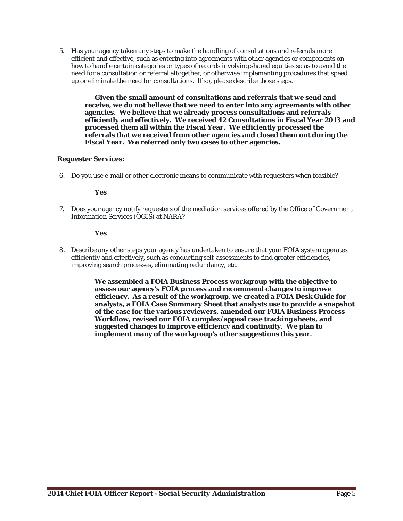5. Has your agency taken any steps to make the handling of consultations and referrals more efficient and effective, such as entering into agreements with other agencies or components on how to handle certain categories or types of records involving shared equities so as to avoid the need for a consultation or referral altogether, or otherwise implementing procedures that speed up or eliminate the need for consultations. If so, please describe those steps.

**Given the small amount of consultations and referrals that we send and receive, we do not believe that we need to enter into any agreements with other agencies. We believe that we already process consultations and referrals efficiently and effectively. We received 42 Consultations in Fiscal Year 2013 and processed them all within the Fiscal Year. We efficiently processed the referrals that we received from other agencies and closed them out during the Fiscal Year. We referred only two cases to other agencies.**

# *Requester Services:*

6. Do you use e-mail or other electronic means to communicate with requesters when feasible?

# **Yes**

7. Does your agency notify requesters of the mediation services offered by the Office of Government Information Services (OGIS) at NARA?

# **Yes**

8. Describe any other steps your agency has undertaken to ensure that your FOIA system operates efficiently and effectively, such as conducting self-assessments to find greater efficiencies, improving search processes, eliminating redundancy, etc.

> **We assembled a FOIA Business Process workgroup with the objective to assess our agency's FOIA process and recommend changes to improve efficiency. As a result of the workgroup, we created a FOIA Desk Guide for analysts, a FOIA Case Summary Sheet that analysts use to provide a snapshot of the case for the various reviewers, amended our FOIA Business Process Workflow, revised our FOIA complex/appeal case tracking sheets, and suggested changes to improve efficiency and continuity. We plan to implement many of the workgroup's other suggestions this year.**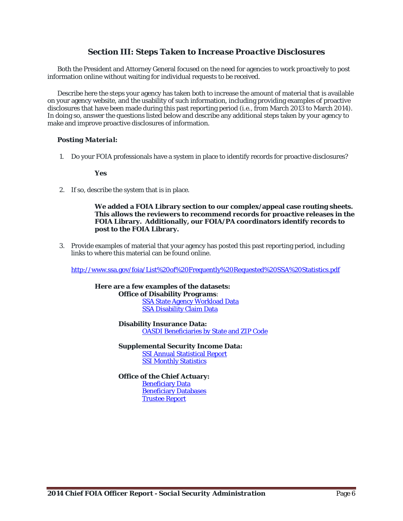# *Section III: Steps Taken to Increase Proactive Disclosures*

Both the President and Attorney General focused on the need for agencies to work proactively to post information online without waiting for individual requests to be received.

Describe here the steps your agency has taken both to increase the amount of material that is available on your agency website, and the usability of such information, including providing examples of proactive disclosures that have been made during this past reporting period (i.e., from March 2013 to March 2014). In doing so, answer the questions listed below and describe any additional steps taken by your agency to make and improve proactive disclosures of information.

# *Posting Material:*

1. Do your FOIA professionals have a system in place to identify records for proactive disclosures?

**Yes**

2. If so, describe the system that is in place.

**We added a FOIA Library section to our complex/appeal case routing sheets. This allows the reviewers to recommend records for proactive releases in the FOIA Library. Additionally, our FOIA/PA coordinators identify records to post to the FOIA Library.**

3. Provide examples of material that your agency has posted this past reporting period, including links to where this material can be found online.

<http://www.ssa.gov/foia/List%20of%20Frequently%20Requested%20SSA%20Statistics.pdf>

**Here are a few examples of the datasets: Office of Disability Programs**: [SSA State Agency Workload Data](https://explore.data.gov/Social-Insurance-and-Human-Services/SSA-State-Agency-Workload-Data/c7qv-j5sy)  [SSA Disability Claim Data](https://explore.data.gov/Social-Insurance-and-Human-Services/SSA-Disability-Claim-Data/wtum-mhb6)

> **Disability Insurance Data:** [OASDI Beneficiaries by State and ZIP Code](http://www.ssa.gov/policy/docs/statcomps/oasdi_zip/index.html)

**Supplemental Security Income Data:** [SSI Annual Statistical Report](http://www.ssa.gov/policy/docs/statcomps/ssi_asr/index.html) [SSI Monthly Statistics](http://www.ssa.gov/policy/docs/statcomps/ssi_monthly/index.html)

**Office of the Chief Actuary: [Beneficiary Data](http://www.socialsecurity.gov/OACT/ProgData/benefits.html)** [Beneficiary Databases](http://www.socialsecurity.gov/OACT/ProgData/beniesQuery.html) [Trustee Report](http://www.socialsecurity.gov/OACT/TR/index.html)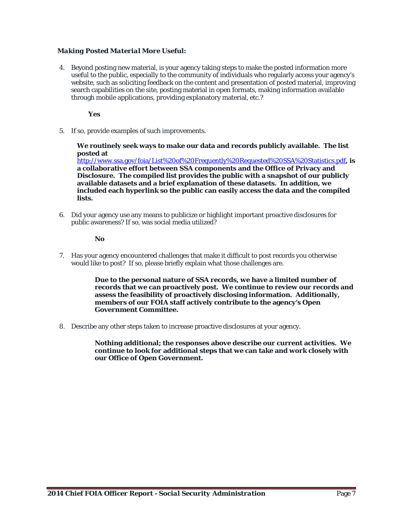# *Making Posted Material More Useful:*

4. Beyond posting new material, is your agency taking steps to make the posted information more useful to the public, especially to the community of individuals who regularly access your agency's website, such as soliciting feedback on the content and presentation of posted material, improving search capabilities on the site, posting material in open formats, making information available through mobile applications, providing explanatory material, etc.?

**Yes**

5. If so, provide examples of such improvements.

**We routinely seek ways to make our data and records publicly available. The list posted at**

<http://www.ssa.gov/foia/List%20of%20Frequently%20Requested%20SSA%20Statistics.pdf>**, is a collaborative effort between SSA components and the Office of Privacy and Disclosure. The compiled list provides the public with a snapshot of our publicly available datasets and a brief explanation of these datasets. In addition, we included each hyperlink so the public can easily access the data and the compiled lists.**

6. Did your agency use any means to publicize or highlight important proactive disclosures for public awareness? If so, was social media utilized?

#### **No**

7. Has your agency encountered challenges that make it difficult to post records you otherwise would like to post? If so, please briefly explain what those challenges are.

> **Due to the personal nature of SSA records, we have a limited number of records that we can proactively post. We continue to review our records and assess the feasibility of proactively disclosing information. Additionally, members of our FOIA staff actively contribute to the agency's Open Government Committee.**

8. Describe any other steps taken to increase proactive disclosures at your agency.

**Nothing additional; the responses above describe our current activities. We continue to look for additional steps that we can take and work closely with our Office of Open Government.**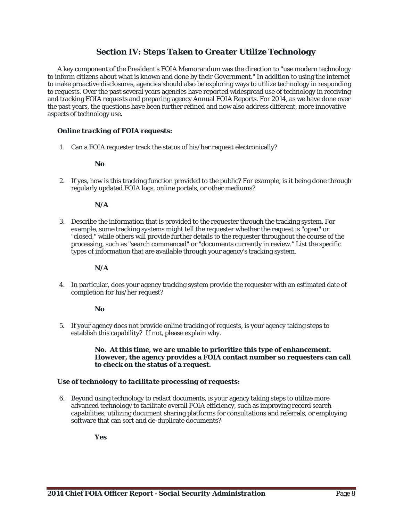# *Section IV: Steps Taken to Greater Utilize Technology*

A key component of the President's FOIA Memorandum was the direction to "use modern technology to inform citizens about what is known and done by their Government." In addition to using the internet to make proactive disclosures, agencies should also be exploring ways to utilize technology in responding to requests. Over the past several years agencies have reported widespread use of technology in receiving and tracking FOIA requests and preparing agency Annual FOIA Reports. For 2014, as we have done over the past years, the questions have been further refined and now also address different, more innovative aspects of technology use.

### *Online tracking of FOIA requests:*

1. Can a FOIA requester track the status of his/her request electronically?

#### **No**

2. If yes, how is this tracking function provided to the public? For example, is it being done through regularly updated FOIA logs, online portals, or other mediums?

#### **N/A**

3. Describe the information that is provided to the requester through the tracking system. For example, some tracking systems might tell the requester whether the request is "open" or "closed," while others will provide further details to the requester throughout the course of the processing, such as "search commenced" or "documents currently in review." List the specific types of information that are available through your agency's tracking system.

### **N/A**

4. In particular, does your agency tracking system provide the requester with an estimated date of completion for his/her request?

#### **No**

5. If your agency does not provide online tracking of requests, is your agency taking steps to establish this capability? If not, please explain why.

#### **No. At this time, we are unable to prioritize this type of enhancement. However, the agency provides a FOIA contact number so requesters can call to check on the status of a request.**

#### *Use of technology to facilitate processing of requests:*

6. Beyond using technology to redact documents, is your agency taking steps to utilize more advanced technology to facilitate overall FOIA efficiency, such as improving record search capabilities, utilizing document sharing platforms for consultations and referrals, or employing software that can sort and de-duplicate documents?

**Yes**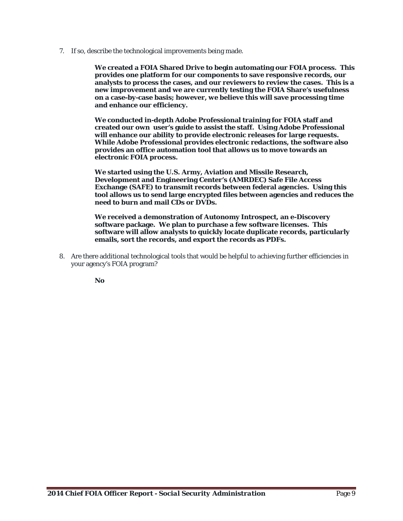7. If so, describe the technological improvements being made.

**We created a FOIA Shared Drive to begin automating our FOIA process. This provides one platform for our components to save responsive records, our analysts to process the cases, and our reviewers to review the cases. This is a new improvement and we are currently testing the FOIA Share's usefulness on a case-by-case basis; however, we believe this will save processing time and enhance our efficiency.**

**We conducted in-depth Adobe Professional training for FOIA staff and created our own user's guide to assist the staff. Using Adobe Professional will enhance our ability to provide electronic releases for large requests. While Adobe Professional provides electronic redactions, the software also provides an office automation tool that allows us to move towards an electronic FOIA process.**

**We started using the U.S. Army, Aviation and Missile Research, Development and Engineering Center's (AMRDEC) Safe File Access Exchange (SAFE) to transmit records between federal agencies. Using this tool allows us to send large encrypted files between agencies and reduces the need to burn and mail CDs or DVDs.**

**We received a demonstration of Autonomy Introspect, an e-Discovery software package. We plan to purchase a few software licenses. This software will allow analysts to quickly locate duplicate records, particularly emails, sort the records, and export the records as PDFs.**

8. Are there additional technological tools that would be helpful to achieving further efficiencies in your agency's FOIA program?

**No**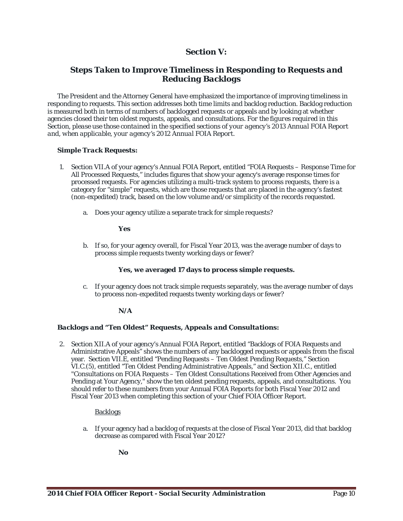# *Section V:*

# *Steps Taken to Improve Timeliness in Responding to Requests and Reducing Backlogs*

The President and the Attorney General have emphasized the importance of improving timeliness in responding to requests. This section addresses both time limits and backlog reduction. Backlog reduction is measured both in terms of numbers of backlogged requests or appeals and by looking at whether agencies closed their ten oldest requests, appeals, and consultations. *For the figures required in this Section, please use those contained in the specified sections of your agency's 2013 Annual FOIA Report and, when applicable, your agency's 2012 Annual FOIA Report.*

# *Simple Track Requests:*

- 1. Section VII.A of your agency's Annual FOIA Report, entitled "FOIA Requests Response Time for All Processed Requests," includes figures that show your agency's average response times for processed requests. For agencies utilizing a multi-track system to process requests, there is a category for "simple" requests, which are those requests that are placed in the agency's fastest (non-expedited) track, based on the low volume and/or simplicity of the records requested.
	- a. Does your agency utilize a separate track for simple requests?

### **Yes**

b. If so, for your agency overall, for Fiscal Year 2013, was the average number of days to process simple requests twenty working days or fewer?

# **Yes, we averaged 17 days to process simple requests.**

c. If your agency does not track simple requests separately, was the average number of days to process non-expedited requests twenty working days or fewer?

# **N/A**

# *Backlogs and "Ten Oldest" Requests, Appeals and Consultations:*

2. Section XII.A of your agency's Annual FOIA Report, entitled "Backlogs of FOIA Requests and Administrative Appeals" shows the numbers of any backlogged requests or appeals from the fiscal year. Section VII.E, entitled "Pending Requests – Ten Oldest Pending Requests," Section VI.C.(5), entitled "Ten Oldest Pending Administrative Appeals," and Section XII.C., entitled "Consultations on FOIA Requests – Ten Oldest Consultations Received from Other Agencies and Pending at Your Agency," show the ten oldest pending requests, appeals, and consultations. You should refer to these numbers from your Annual FOIA Reports for both Fiscal Year 2012 and Fiscal Year 2013 when completing this section of your Chief FOIA Officer Report.

#### Backlogs

a. If your agency had a backlog of requests at the close of Fiscal Year 2013, did that backlog decrease as compared with Fiscal Year 2012?

**No**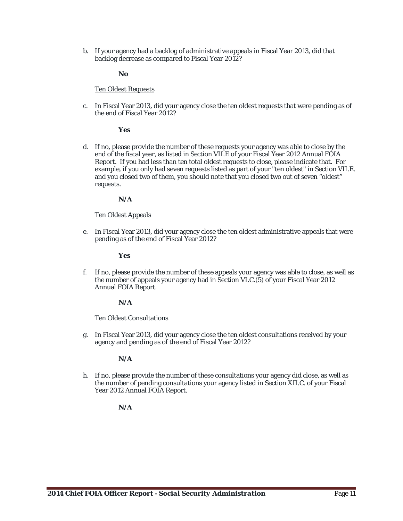b. If your agency had a backlog of administrative appeals in Fiscal Year 2013, did that backlog decrease as compared to Fiscal Year 2012?

#### **No**

#### Ten Oldest Requests

c. In Fiscal Year 2013, did your agency close the ten oldest requests that were pending as of the end of Fiscal Year 2012?

#### **Yes**

d. If no, please provide the number of these requests your agency was able to close by the end of the fiscal year, as listed in Section VII.E of your Fiscal Year 2012 Annual FOIA Report. If you had less than ten total oldest requests to close, please indicate that. For example, if you only had seven requests listed as part of your "ten oldest" in Section VII.E. and you closed two of them, you should note that you closed two out of seven "oldest" requests.

#### **N/A**

#### Ten Oldest Appeals

e. In Fiscal Year 2013, did your agency close the ten oldest administrative appeals that were pending as of the end of Fiscal Year 2012?

#### **Yes**

f. If no, please provide the number of these appeals your agency was able to close, as well as the number of appeals your agency had in Section VI.C.(5) of your Fiscal Year 2012 Annual FOIA Report.

#### **N/A**

#### Ten Oldest Consultations

g. In Fiscal Year 2013, did your agency close the ten oldest consultations received by your agency and pending as of the end of Fiscal Year 2012?

#### **N/A**

h. If no, please provide the number of these consultations your agency did close, as well as the number of pending consultations your agency listed in Section XII.C. of your Fiscal Year 2012 Annual FOIA Report.

#### **N/A**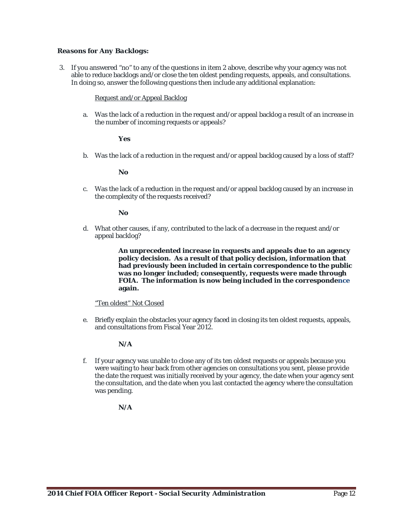### *Reasons for Any Backlogs:*

3. If you answered "no" to any of the questions in item 2 above, describe why your agency was not able to reduce backlogs and/or close the ten oldest pending requests, appeals, and consultations. In doing so, answer the following questions then include any additional explanation:

#### Request and/or Appeal Backlog

a. Was the lack of a reduction in the request and/or appeal backlog a result of an increase in the number of incoming requests or appeals?

#### **Yes**

b. Was the lack of a reduction in the request and/or appeal backlog caused by a loss of staff?

#### **No**

c. Was the lack of a reduction in the request and/or appeal backlog caused by an increase in the complexity of the requests received?

### **No**

d. What other causes, if any, contributed to the lack of a decrease in the request and/or appeal backlog?

> **An unprecedented increase in requests and appeals due to an agency policy decision. As a result of that policy decision, information that had previously been included in certain correspondence to the public was no longer included; consequently, requests were made through FOIA. The information is now being included in the correspondence again.**

#### "Ten oldest" Not Closed

e. Briefly explain the obstacles your agency faced in closing its ten oldest requests, appeals, and consultations from Fiscal Year 2012.

# **N/A**

f. If your agency was unable to close any of its ten oldest requests or appeals because you were waiting to hear back from other agencies on consultations you sent, please provide the date the request was initially received by your agency, the date when your agency sent the consultation, and the date when you last contacted the agency where the consultation was pending.

# **N/A**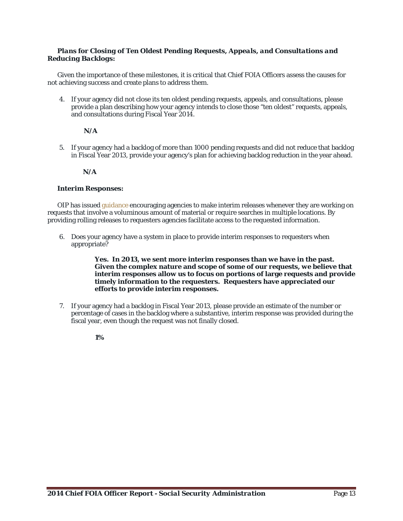### *Plans for Closing of Ten Oldest Pending Requests, Appeals, and Consultations and Reducing Backlogs:*

Given the importance of these milestones, it is critical that Chief FOIA Officers assess the causes for not achieving success and create plans to address them.

4. If your agency did not close its ten oldest pending requests, appeals, and consultations, please provide a plan describing how your agency intends to close those "ten oldest" requests, appeals, and consultations during Fiscal Year 2014.

# **N/A**

5. If your agency had a backlog of more than 1000 pending requests and did not reduce that backlog in Fiscal Year 2013, provide your agency's plan for achieving backlog reduction in the year ahead.

# **N/A**

# *Interim Responses:*

OIP has issued *guidance* encouraging agencies to make interim releases whenever they are working on requests that involve a voluminous amount of material or require searches in multiple locations. By providing rolling releases to requesters agencies facilitate access to the requested information.

6. Does your agency have a system in place to provide interim responses to requesters when appropriate?

> **Yes. In 2013, we sent more interim responses than we have in the past. Given the complex nature and scope of some of our requests, we believe that interim responses allow us to focus on portions of large requests and provide timely information to the requesters. Requesters have appreciated our efforts to provide interim responses.**

7. If your agency had a backlog in Fiscal Year 2013, please provide an estimate of the number or percentage of cases in the backlog where a substantive, interim response was provided during the fiscal year, even though the request was not finally closed.

**1%**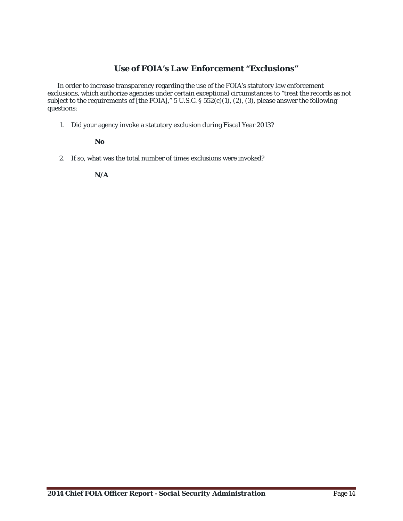# *Use of FOIA's Law Enforcement "Exclusions"*

In order to increase transparency regarding the use of the FOIA's statutory law enforcement exclusions, which authorize agencies under certain exceptional circumstances to "treat the records as not subject to the requirements of [the FOIA]," 5 U.S.C. § 552(c)(1), (2), (3), please answer the following questions:

1. Did your agency invoke a statutory exclusion during Fiscal Year 2013?

**No**

2. If so, what was the total number of times exclusions were invoked?

**N/A**